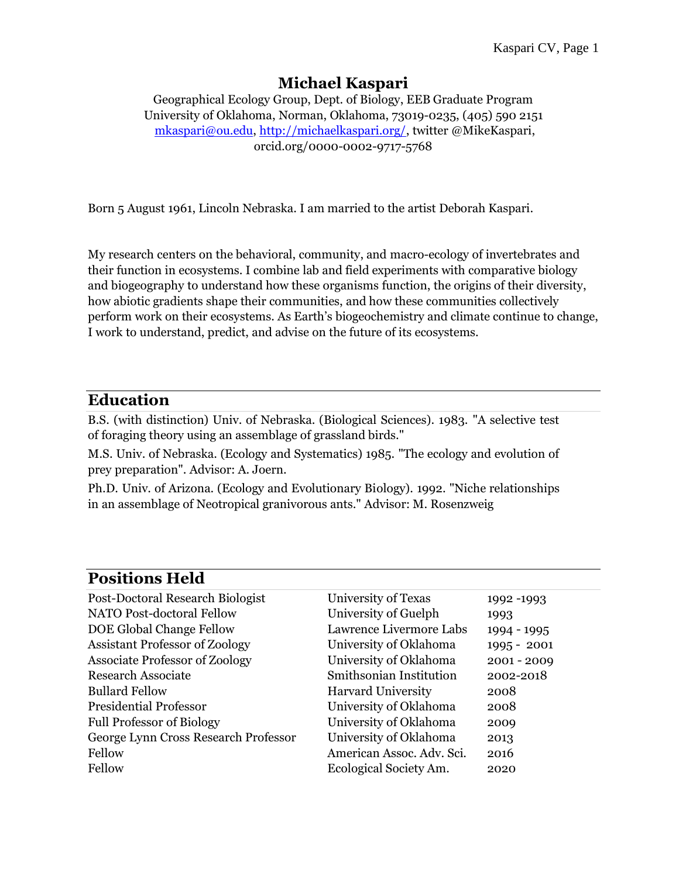# **Michael Kaspari**

Geographical Ecology Group, Dept. of Biology, EEB Graduate Program University of Oklahoma, Norman, Oklahoma, 73019-0235, (405) 590 2151 [mkaspari@ou.edu,](mailto:mkaspari@ou.edu) [http://michaelkaspari.org/,](http://michaelkaspari.org/) twitter @MikeKaspari, orcid.org/0000-0002-9717-5768

Born 5 August 1961, Lincoln Nebraska. I am married to the artist Deborah Kaspari.

My research centers on the behavioral, community, and macro-ecology of invertebrates and their function in ecosystems. I combine lab and field experiments with comparative biology and biogeography to understand how these organisms function, the origins of their diversity, how abiotic gradients shape their communities, and how these communities collectively perform work on their ecosystems. As Earth's biogeochemistry and climate continue to change, I work to understand, predict, and advise on the future of its ecosystems.

## **Education**

B.S. (with distinction) Univ. of Nebraska. (Biological Sciences). 1983. "A selective test of foraging theory using an assemblage of grassland birds."

M.S. Univ. of Nebraska. (Ecology and Systematics) 1985. "The ecology and evolution of prey preparation". Advisor: A. Joern.

Ph.D. Univ. of Arizona. (Ecology and Evolutionary Biology). 1992. "Niche relationships in an assemblage of Neotropical granivorous ants." Advisor: M. Rosenzweig

## **Positions Held**

| Post-Doctoral Research Biologist      | University of Texas       | 1992-1993     |
|---------------------------------------|---------------------------|---------------|
| NATO Post-doctoral Fellow             | University of Guelph      | 1993          |
| DOE Global Change Fellow              | Lawrence Livermore Labs   | $1994 - 1995$ |
| <b>Assistant Professor of Zoology</b> | University of Oklahoma    | 1995 - 2001   |
| <b>Associate Professor of Zoology</b> | University of Oklahoma    | $2001 - 2009$ |
| <b>Research Associate</b>             | Smithsonian Institution   | 2002-2018     |
| <b>Bullard Fellow</b>                 | <b>Harvard University</b> | 2008          |
| <b>Presidential Professor</b>         | University of Oklahoma    | 2008          |
| <b>Full Professor of Biology</b>      | University of Oklahoma    | 2009          |
| George Lynn Cross Research Professor  | University of Oklahoma    | 2013          |
| Fellow                                | American Assoc. Adv. Sci. | 2016          |
| Fellow                                | Ecological Society Am.    | 2020          |
|                                       |                           |               |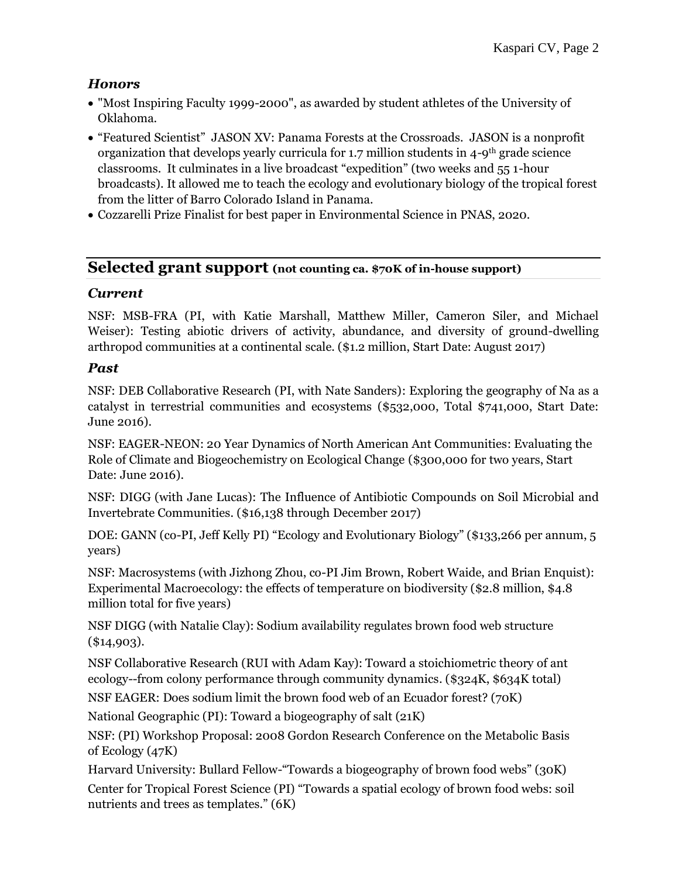## *Honors*

- "Most Inspiring Faculty 1999-2000", as awarded by student athletes of the University of Oklahoma.
- "Featured Scientist" JASON XV: Panama Forests at the Crossroads. JASON is a nonprofit organization that develops yearly curricula for 1.7 million students in 4-9th grade science classrooms. It culminates in a live broadcast "expedition" (two weeks and 55 1-hour broadcasts). It allowed me to teach the ecology and evolutionary biology of the tropical forest from the litter of Barro Colorado Island in Panama.
- Cozzarelli Prize Finalist for best paper in Environmental Science in PNAS, 2020.

## **Selected grant support (not counting ca. \$70K of in-house support)**

### *Current*

NSF: MSB-FRA (PI, with Katie Marshall, Matthew Miller, Cameron Siler, and Michael Weiser): Testing abiotic drivers of activity, abundance, and diversity of ground-dwelling arthropod communities at a continental scale. (\$1.2 million, Start Date: August 2017)

## *Past*

NSF: DEB Collaborative Research (PI, with Nate Sanders): Exploring the geography of Na as a catalyst in terrestrial communities and ecosystems (\$532,000, Total \$741,000, Start Date: June 2016).

NSF: EAGER-NEON: 20 Year Dynamics of North American Ant Communities: Evaluating the Role of Climate and Biogeochemistry on Ecological Change (\$300,000 for two years, Start Date: June 2016).

NSF: DIGG (with Jane Lucas): The Influence of Antibiotic Compounds on Soil Microbial and Invertebrate Communities. (\$16,138 through December 2017)

DOE: GANN (co-PI, Jeff Kelly PI) "Ecology and Evolutionary Biology" (\$133,266 per annum, 5 years)

NSF: Macrosystems (with Jizhong Zhou, co-PI Jim Brown, Robert Waide, and Brian Enquist): Experimental Macroecology: the effects of temperature on biodiversity (\$2.8 million, \$4.8 million total for five years)

NSF DIGG (with Natalie Clay): Sodium availability regulates brown food web structure  $(\$14,903).$ 

NSF Collaborative Research (RUI with Adam Kay): Toward a stoichiometric theory of ant ecology--from colony performance through community dynamics*.* (\$324K, \$634K total) NSF EAGER: Does sodium limit the brown food web of an Ecuador forest? (70K)

National Geographic (PI): Toward a biogeography of salt (21K)

NSF: (PI) Workshop Proposal: 2008 Gordon Research Conference on the Metabolic Basis of Ecology (47K)

Harvard University: Bullard Fellow-"Towards a biogeography of brown food webs" (30K) Center for Tropical Forest Science (PI) "Towards a spatial ecology of brown food webs: soil nutrients and trees as templates." (6K)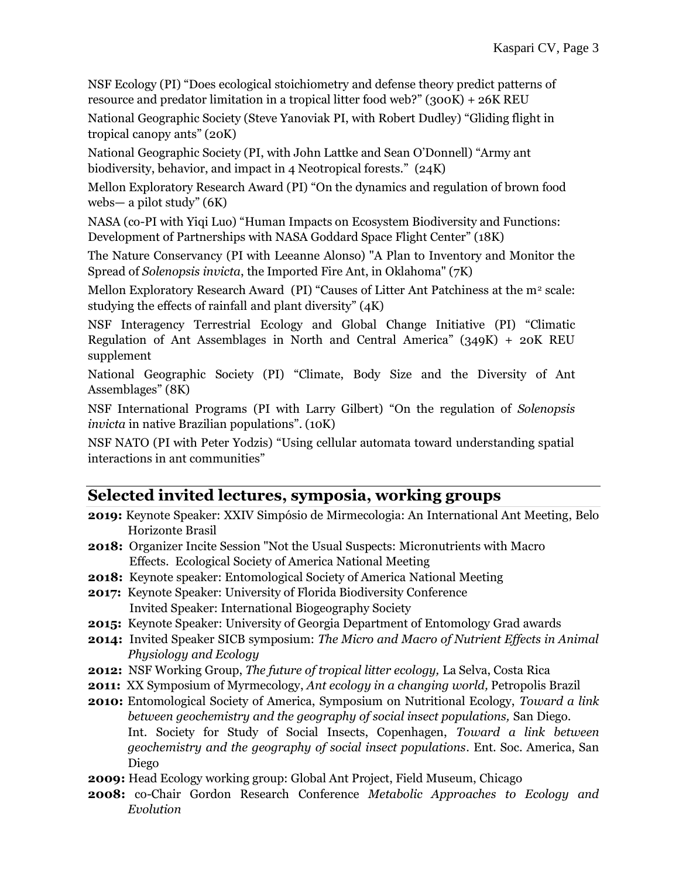NSF Ecology (PI) "Does ecological stoichiometry and defense theory predict patterns of resource and predator limitation in a tropical litter food web?" (300K) + 26K REU

National Geographic Society (Steve Yanoviak PI, with Robert Dudley) "Gliding flight in tropical canopy ants" (20K)

National Geographic Society (PI, with John Lattke and Sean O'Donnell) "Army ant biodiversity, behavior, and impact in 4 Neotropical forests." (24K)

Mellon Exploratory Research Award (PI) "On the dynamics and regulation of brown food webs— a pilot study" (6K)

NASA (co-PI with Yiqi Luo) "Human Impacts on Ecosystem Biodiversity and Functions: Development of Partnerships with NASA Goddard Space Flight Center" (18K)

The Nature Conservancy (PI with Leeanne Alonso) "A Plan to Inventory and Monitor the Spread of *Solenopsis invicta*, the Imported Fire Ant, in Oklahoma" (7K)

Mellon Exploratory Research Award (PI) "Causes of Litter Ant Patchiness at the  $m^2$  scale: studying the effects of rainfall and plant diversity" (4K)

NSF Interagency Terrestrial Ecology and Global Change Initiative (PI) "Climatic Regulation of Ant Assemblages in North and Central America"  $(349K) + 20K$  REU supplement

National Geographic Society (PI) "Climate, Body Size and the Diversity of Ant Assemblages" (8K)

NSF International Programs (PI with Larry Gilbert) "On the regulation of *Solenopsis invicta* in native Brazilian populations". (10K)

NSF NATO (PI with Peter Yodzis) "Using cellular automata toward understanding spatial interactions in ant communities"

## **Selected invited lectures, symposia, working groups**

- **2019:** Keynote Speaker: XXIV Simpósio de Mirmecologia: An International Ant Meeting, Belo Horizonte Brasil
- **2018:** Organizer Incite Session "Not the Usual Suspects: Micronutrients with Macro Effects. Ecological Society of America National Meeting
- **2018:** Keynote speaker: Entomological Society of America National Meeting
- **2017:** Keynote Speaker: University of Florida Biodiversity Conference Invited Speaker: International Biogeography Society
- **2015:** Keynote Speaker: University of Georgia Department of Entomology Grad awards
- **2014:** Invited Speaker SICB symposium: *The Micro and Macro of Nutrient Effects in Animal Physiology and Ecology*
- **2012:** NSF Working Group, *The future of tropical litter ecology,* La Selva, Costa Rica
- **2011:** XX Symposium of Myrmecology, *Ant ecology in a changing world,* Petropolis Brazil
- **2010:** Entomological Society of America, Symposium on Nutritional Ecology, *Toward a link between geochemistry and the geography of social insect populations,* San Diego. Int. Society for Study of Social Insects, Copenhagen, *Toward a link between geochemistry and the geography of social insect populations*. Ent. Soc. America, San Diego
- **2009:** Head Ecology working group: Global Ant Project, Field Museum, Chicago
- **2008:** co-Chair Gordon Research Conference *Metabolic Approaches to Ecology and Evolution*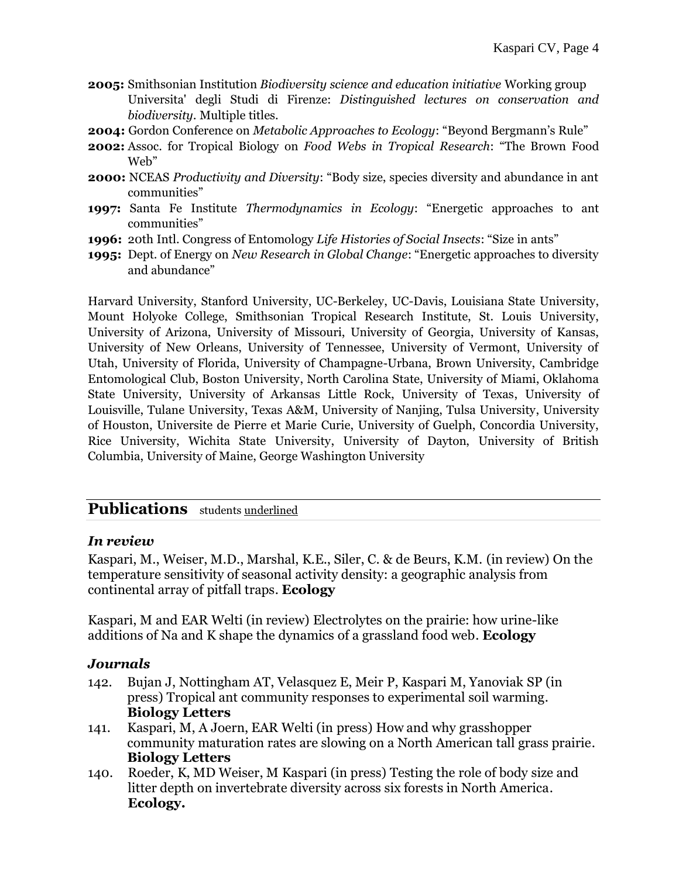- **2005:** Smithsonian Institution *Biodiversity science and education initiative* Working group Universita' degli Studi di Firenze: *Distinguished lectures on conservation and biodiversity.* Multiple titles.
- **2004:** Gordon Conference on *Metabolic Approaches to Ecology*: "Beyond Bergmann's Rule"
- **2002:** Assoc. for Tropical Biology on *Food Webs in Tropical Research*: "The Brown Food Web"
- **2000:** NCEAS *Productivity and Diversity*: "Body size, species diversity and abundance in ant communities"
- **1997:** Santa Fe Institute *Thermodynamics in Ecology*: "Energetic approaches to ant communities"
- **1996:** 20th Intl. Congress of Entomology *Life Histories of Social Insects*: "Size in ants"
- **1995:** Dept. of Energy on *New Research in Global Change*: "Energetic approaches to diversity and abundance"

Harvard University, Stanford University, UC-Berkeley, UC-Davis, Louisiana State University, Mount Holyoke College, Smithsonian Tropical Research Institute, St. Louis University, University of Arizona, University of Missouri, University of Georgia, University of Kansas, University of New Orleans, University of Tennessee, University of Vermont, University of Utah, University of Florida, University of Champagne-Urbana, Brown University, Cambridge Entomological Club, Boston University, North Carolina State, University of Miami, Oklahoma State University, University of Arkansas Little Rock, University of Texas, University of Louisville, Tulane University, Texas A&M, University of Nanjing, Tulsa University, University of Houston, Universite de Pierre et Marie Curie, University of Guelph, Concordia University, Rice University, Wichita State University, University of Dayton, University of British Columbia, University of Maine, George Washington University

## **Publications** students underlined

#### *In review*

Kaspari, M., Weiser, M.D., Marshal, K.E., Siler, C. & de Beurs, K.M. (in review) On the temperature sensitivity of seasonal activity density: a geographic analysis from continental array of pitfall traps. **Ecology**

Kaspari, M and EAR Welti (in review) Electrolytes on the prairie: how urine-like additions of Na and K shape the dynamics of a grassland food web. **Ecology**

#### *Journals*

- 142. Bujan J, Nottingham AT, Velasquez E, Meir P, Kaspari M, Yanoviak SP (in press) Tropical ant community responses to experimental soil warming. **Biology Letters**
- 141. Kaspari, M, A Joern, EAR Welti (in press) How and why grasshopper community maturation rates are slowing on a North American tall grass prairie. **Biology Letters**
- 140. Roeder, K, MD Weiser, M Kaspari (in press) Testing the role of body size and litter depth on invertebrate diversity across six forests in North America. **Ecology.**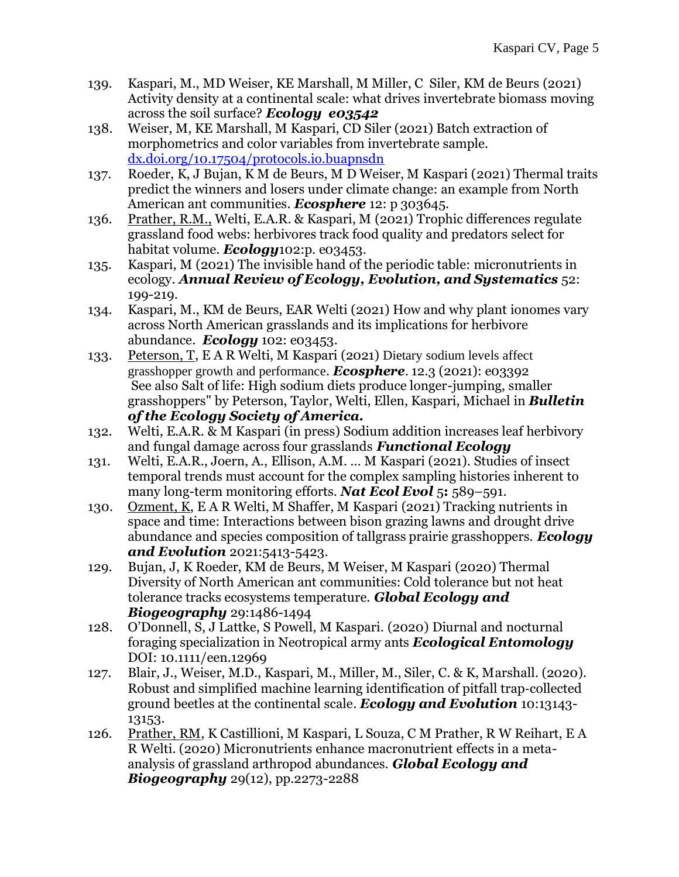- 139. Kaspari, M., MD Weiser, KE Marshall, M Miller, C Siler, KM de Beurs (2021) Activity density at a continental scale: what drives invertebrate biomass moving across the soil surface? *Ecology e03542*
- 138. Weiser, M, KE Marshall, M Kaspari, CD Siler (2021) Batch extraction of morphometrics and color variables from invertebrate sample. [dx.doi.org/10.17504/protocols.io.buapnsdn](https://dx.doi.org/10.17504/protocols.io.buapnsdn)
- 137. Roeder, K, J Bujan, K M de Beurs, M D Weiser, M Kaspari (2021) Thermal traits predict the winners and losers under climate change: an example from North American ant communities. *Ecosphere* 12: p 303645.
- 136. Prather, R.M., Welti, E.A.R. & Kaspari, M (2021) Trophic differences regulate grassland food webs: herbivores track food quality and predators select for habitat volume. *Ecology*102:p. e03453.
- 135. Kaspari, M (2021) The invisible hand of the periodic table: micronutrients in ecology. *Annual Review of Ecology, Evolution, and Systematics* 52: 199-219.
- 134. Kaspari, M., KM de Beurs, EAR Welti (2021) How and why plant ionomes vary across North American grasslands and its implications for herbivore abundance. *Ecology* 102: e03453.
- 133. Peterson, T, E A R Welti, M Kaspari (2021) Dietary sodium levels affect grasshopper growth and performance. *Ecosphere.* 12.3 (2021): e03392 See also Salt of life: High sodium diets produce longer-jumping, smaller grasshoppers" by Peterson, Taylor, Welti, Ellen, Kaspari, Michael in *Bulletin of the Ecology Society of America.*
- 132. Welti, E.A.R. & M Kaspari (in press) Sodium addition increases leaf herbivory and fungal damage across four grasslands *Functional Ecology*
- 131. Welti, E.A.R., Joern, A., Ellison, A.M. *…* M Kaspari (2021)*.* Studies of insect temporal trends must account for the complex sampling histories inherent to many long-term monitoring efforts. *Nat Ecol Evol* 5**:** 589–591.
- 130. Ozment, K, E A R Welti, M Shaffer, M Kaspari (2021) Tracking nutrients in space and time: Interactions between bison grazing lawns and drought drive abundance and species composition of tallgrass prairie grasshoppers. *Ecology and Evolution* 2021:5413-5423.
- 129. Bujan, J, K Roeder, KM de Beurs, M Weiser, M Kaspari (2020) Thermal Diversity of North American ant communities: Cold tolerance but not heat tolerance tracks ecosystems temperature. *Global Ecology and Biogeography* 29:1486-1494
- 128. O'Donnell, S, J Lattke, S Powell, M Kaspari. (2020) Diurnal and nocturnal foraging specialization in Neotropical army ants *Ecological Entomology* DOI: 10.1111/een.12969
- 127. Blair, J., Weiser, M.D., Kaspari, M., Miller, M., Siler, C. & K, Marshall. (2020). Robust and simplified machine learning identification of pitfall trap‐collected ground beetles at the continental scale. *Ecology and Evolution* 10:13143- 13153.
- 126. Prather, RM, K Castillioni, M Kaspari, L Souza, C M Prather, R W Reihart, E A R Welti. (2020) Micronutrients enhance macronutrient effects in a metaanalysis of grassland arthropod abundances. *Global Ecology and Biogeography* 29(12), pp.2273-2288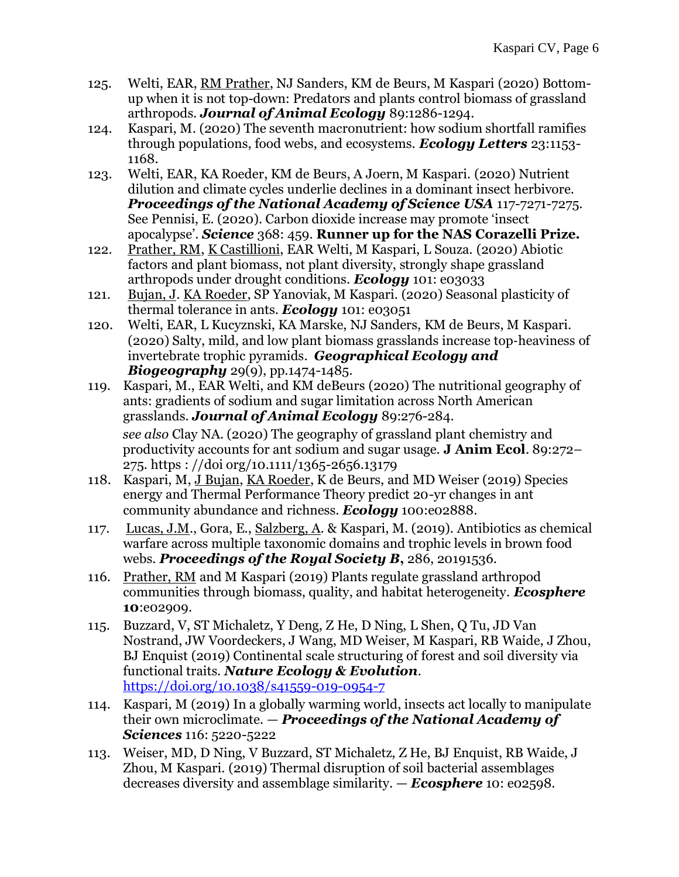- 125. Welti, EAR, RM Prather, NJ Sanders, KM de Beurs, M Kaspari (2020) Bottomup when it is not top-down: Predators and plants control biomass of grassland arthropods. *Journal of Animal Ecology* 89:1286-1294.
- 124. Kaspari, M. (2020) The seventh macronutrient: how sodium shortfall ramifies through populations, food webs, and ecosystems. *Ecology Letters* 23:1153- 1168.
- 123. Welti, EAR, KA Roeder, KM de Beurs, A Joern, M Kaspari. (2020) Nutrient dilution and climate cycles underlie declines in a dominant insect herbivore. *Proceedings of the National Academy of Science USA* 117-7271-7275. See Pennisi, E. (2020). Carbon dioxide increase may promote 'insect apocalypse'. *Science* 368: 459. **Runner up for the NAS Corazelli Prize.**
- 122. Prather, RM, K Castillioni, EAR Welti, M Kaspari, L Souza. (2020) Abiotic factors and plant biomass, not plant diversity, strongly shape grassland arthropods under drought conditions. *Ecology* 101: e03033
- 121. Bujan, J. KA Roeder, SP Yanoviak, M Kaspari. (2020) Seasonal plasticity of thermal tolerance in ants. *Ecology* 101: e03051
- 120. Welti, EAR, L Kucyznski, KA Marske, NJ Sanders, KM de Beurs, M Kaspari. (2020) Salty, mild, and low plant biomass grasslands increase top‐heaviness of invertebrate trophic pyramids. *Geographical Ecology and Biogeography* 29(9), pp.1474-1485.
- 119. Kaspari, M., EAR Welti, and KM deBeurs (2020) The nutritional geography of ants: gradients of sodium and sugar limitation across North American grasslands. *Journal of Animal Ecology* 89:276-284. *see also* Clay NA. (2020) The geography of grassland plant chemistry and productivity accounts for ant sodium and sugar usage. **J Anim Ecol**. 89:272– 275. https : //doi org/10.1111/1365-2656.13179
- 118. Kaspari, M, J Bujan, KA Roeder, K de Beurs, and MD Weiser (2019) Species energy and Thermal Performance Theory predict 20-yr changes in ant community abundance and richness. *Ecology* 100:e02888.
- 117. Lucas, J.M., Gora, E., Salzberg, A. & Kaspari, M. (2019). Antibiotics as chemical warfare across multiple taxonomic domains and trophic levels in brown food webs. *Proceedings of the Royal Society B***,** 286, 20191536.
- 116. Prather, RM and M Kaspari (2019) Plants regulate grassland arthropod communities through biomass, quality, and habitat heterogeneity. *Ecosphere* **10**:e02909.
- 115. Buzzard, V, ST Michaletz, Y Deng, Z He, D Ning, L Shen, Q Tu, JD Van Nostrand, JW Voordeckers, J Wang, MD Weiser, M Kaspari, RB Waide, J Zhou, BJ Enquist (2019) Continental scale structuring of forest and soil diversity via functional traits. *Nature Ecology & Evolution*. <https://doi.org/10.1038/s41559-019-0954-7>
- 114. Kaspari, M (2019) In a globally warming world, insects act locally to manipulate their own microclimate. — *Proceedings of the National Academy of Sciences* 116: 5220-5222
- 113. Weiser, MD, D Ning, V Buzzard, ST Michaletz, Z He, BJ Enquist, RB Waide, J Zhou, M Kaspari. (2019) Thermal disruption of soil bacterial assemblages decreases diversity and assemblage similarity. — *Ecosphere* 10: e02598.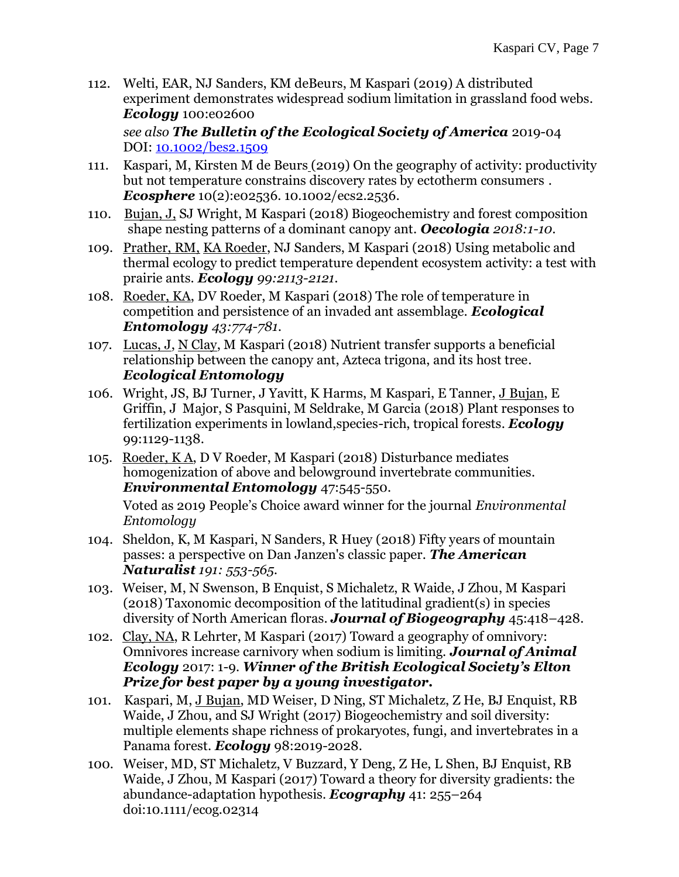112. Welti, EAR, NJ Sanders, KM deBeurs, M Kaspari (2019) A distributed experiment demonstrates widespread sodium limitation in grassland food webs. *Ecology* 100:e02600

 *see also The Bulletin of the Ecological Society of America* 2019-04 DOI: [10.1002/bes2.1509](https://doi.org/10.1002/bes2.1509)

- 111. Kaspari, M, Kirsten M de Beurs (2019) On the geography of activity: productivity but not temperature constrains discovery rates by ectotherm consumers . *Ecosphere* 10(2):e02536. 10.1002/ecs2.2536*.*
- 110. Bujan, J, SJ Wright, M Kaspari (2018) Biogeochemistry and forest composition shape nesting patterns of a dominant canopy ant. *Oecologia 2018:1-10.*
- 109. Prather, RM, KA Roeder, NJ Sanders, M Kaspari (2018) Using metabolic and thermal ecology to predict temperature dependent ecosystem activity: a test with prairie ants. *Ecology 99:2113-2121.*
- 108. Roeder, KA, DV Roeder, M Kaspari (2018) The role of temperature in competition and persistence of an invaded ant assemblage. *Ecological Entomology 43:774-781.*
- 107. Lucas, J, N Clay, M Kaspari (2018) Nutrient transfer supports a beneficial relationship between the canopy ant, Azteca trigona, and its host tree. *Ecological Entomology*
- 106. Wright, JS, BJ Turner, J Yavitt, K Harms, M Kaspari, E Tanner, J Bujan, E Griffin, J Major, S Pasquini, M Seldrake, M Garcia (2018) Plant responses to fertilization experiments in lowland,species-rich, tropical forests. *Ecology* 99:1129-1138.
- 105. Roeder, K A, D V Roeder, M Kaspari (2018) Disturbance mediates homogenization of above and belowground invertebrate communities. *Environmental Entomology* 47:545-550.

Voted as 2019 People's Choice award winner for the journal *Environmental Entomology*

- 104. Sheldon, K, M Kaspari, N Sanders, R Huey (2018) Fifty years of mountain passes: a perspective on Dan Janzen's classic paper. *The American Naturalist 191: 553-565.*
- 103. Weiser, M, N Swenson, B Enquist, S Michaletz, R Waide, J Zhou, M Kaspari (2018) Taxonomic decomposition of the latitudinal gradient(s) in species diversity of North American floras. *Journal of Biogeography* 45:418–428.
- 102. Clay, NA, R Lehrter, M Kaspari (2017) Toward a geography of omnivory: Omnivores increase carnivory when sodium is limiting. *Journal of Animal Ecology* 2017: 1-9. *Winner of the British Ecological Society's Elton Prize for best paper by a young investigator.*
- 101. Kaspari, M, J Bujan, MD Weiser, D Ning, ST Michaletz, Z He, BJ Enquist, RB Waide, J Zhou, and SJ Wright (2017) Biogeochemistry and soil diversity: multiple elements shape richness of prokaryotes, fungi, and invertebrates in a Panama forest. *Ecology* 98:2019-2028.
- 100. Weiser, MD, ST Michaletz, V Buzzard, Y Deng, Z He, L Shen, BJ Enquist, RB Waide, J Zhou, M Kaspari (2017) Toward a theory for diversity gradients: the abundance-adaptation hypothesis. *Ecography* 41: 255–264 doi:10.1111/ecog.02314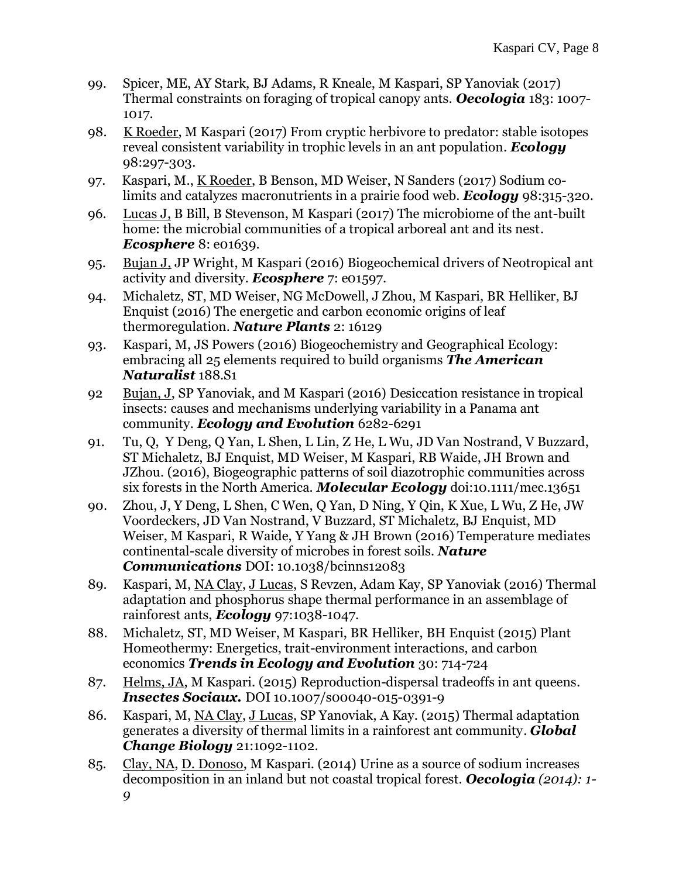- 99. Spicer, ME, AY Stark, BJ Adams, R Kneale, M Kaspari, SP Yanoviak (2017) Thermal constraints on foraging of tropical canopy ants. *Oecologia* 183: 1007- 1017.
- 98. K Roeder, M Kaspari (2017) From cryptic herbivore to predator: stable isotopes reveal consistent variability in trophic levels in an ant population. *Ecology* 98:297-303.
- 97. Kaspari, M., K Roeder, B Benson, MD Weiser, N Sanders (2017) Sodium colimits and catalyzes macronutrients in a prairie food web. *Ecology* 98:315-320.
- 96. Lucas J, B Bill, B Stevenson, M Kaspari (2017) The microbiome of the ant-built home: the microbial communities of a tropical arboreal ant and its nest. *Ecosphere* 8: e01639.
- 95. Bujan J, JP Wright, M Kaspari (2016) Biogeochemical drivers of Neotropical ant activity and diversity. *Ecosphere* 7: e01597.
- 94. Michaletz, ST, MD Weiser, NG McDowell, J Zhou, M Kaspari, BR Helliker, BJ Enquist (2016) The energetic and carbon economic origins of leaf thermoregulation. *Nature Plants* 2: 16129
- 93. Kaspari, M, JS Powers (2016) Biogeochemistry and Geographical Ecology: embracing all 25 elements required to build organisms *The American Naturalist* 188.S1
- 92 Bujan, J, SP Yanoviak, and M Kaspari (2016) Desiccation resistance in tropical insects: causes and mechanisms underlying variability in a Panama ant community. *Ecology and Evolution* 6282-6291
- 91. Tu, Q, Y Deng, Q Yan, L Shen, L Lin, Z He, L Wu, JD Van Nostrand, V Buzzard, ST Michaletz, BJ Enquist, MD Weiser, M Kaspari, RB Waide, JH Brown and JZhou. (2016), Biogeographic patterns of soil diazotrophic communities across six forests in the North America. *Molecular Ecology* doi:10.1111/mec.13651
- 90. Zhou, J, Y Deng, L Shen, C Wen, Q Yan, D Ning, Y Qin, K Xue, L Wu, Z He, JW Voordeckers, JD Van Nostrand, V Buzzard, ST Michaletz, BJ Enquist, MD Weiser, M Kaspari, R Waide, Y Yang & JH Brown (2016) Temperature mediates continental-scale diversity of microbes in forest soils. *Nature Communications* DOI: 10.1038/bcinns12083
- 89. Kaspari, M, NA Clay, J Lucas, S Revzen, Adam Kay, SP Yanoviak (2016) Thermal adaptation and phosphorus shape thermal performance in an assemblage of rainforest ants, *Ecology* 97:1038-1047.
- 88. Michaletz, ST, MD Weiser, M Kaspari, BR Helliker, BH Enquist (2015) Plant Homeothermy: Energetics, trait-environment interactions, and carbon economics *Trends in Ecology and Evolution* 30: 714-724
- 87. Helms, JA, M Kaspari. (2015) Reproduction-dispersal tradeoffs in ant queens*. Insectes Sociaux.* DOI 10.1007/s00040-015-0391-9
- 86. Kaspari, M, NA Clay, J Lucas, SP Yanoviak, A Kay. (2015) Thermal adaptation generates a diversity of thermal limits in a rainforest ant community. *Global Change Biology* 21:1092-1102.
- 85. Clay, NA, D. Donoso, M Kaspari. (2014) Urine as a source of sodium increases decomposition in an inland but not coastal tropical forest. *Oecologia (2014): 1- 9*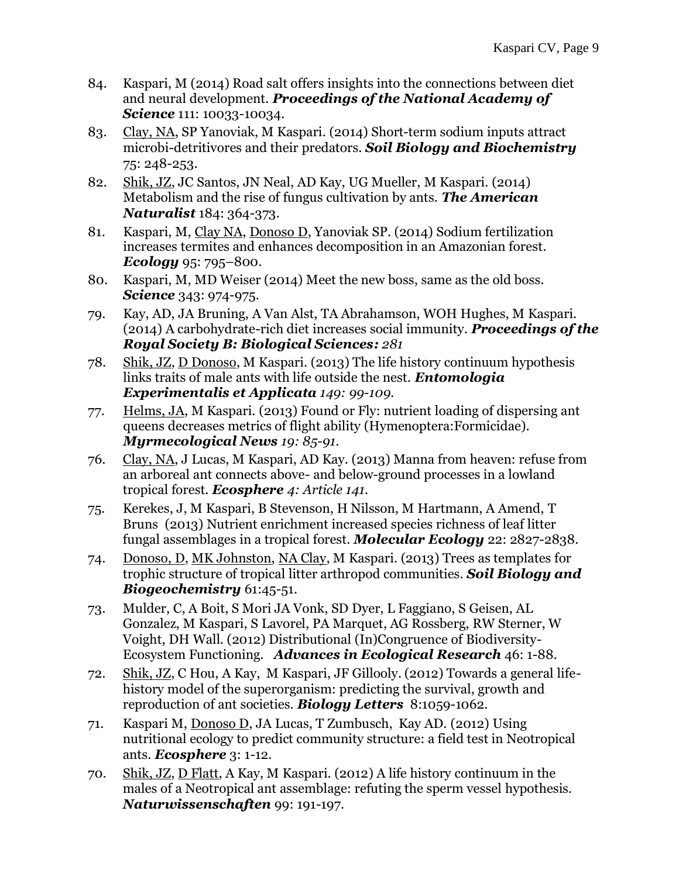- 84. Kaspari, M (2014) Road salt offers insights into the connections between diet and neural development. *Proceedings of the National Academy of Science* 111: 10033-10034.
- 83. Clay, NA, SP Yanoviak, M Kaspari. (2014) Short-term sodium inputs attract microbi-detritivores and their predators. *Soil Biology and Biochemistry* 75: 248-253.
- 82. Shik, JZ, JC Santos, JN Neal, AD Kay, UG Mueller, M Kaspari. (2014) Metabolism and the rise of fungus cultivation by ants. *The American Naturalist* 184: 364-373.
- 81. Kaspari, M, Clay NA, Donoso D, Yanoviak SP. (2014) Sodium fertilization increases termites and enhances decomposition in an Amazonian forest. *Ecology* 95: 795–800.
- 80. Kaspari, M, MD Weiser (2014) Meet the new boss, same as the old boss. *Science* 343: 974-975.
- 79. Kay, AD, JA Bruning, A Van Alst, TA Abrahamson, WOH Hughes, M Kaspari. (2014) A carbohydrate-rich diet increases social immunity. *Proceedings of the Royal Society B: Biological Sciences: 281*
- 78. Shik, JZ, D Donoso, M Kaspari. (2013) The life history continuum hypothesis links traits of male ants with life outside the nest. *Entomologia Experimentalis et Applicata 149: 99-109.*
- 77. Helms, JA, M Kaspari. (2013) Found or Fly: nutrient loading of dispersing ant queens decreases metrics of flight ability (Hymenoptera:Formicidae). *Myrmecological News 19: 85-91.*
- 76. Clay, NA, J Lucas, M Kaspari, AD Kay. (2013) Manna from heaven: refuse from an arboreal ant connects above- and below-ground processes in a lowland tropical forest. *Ecosphere 4: Article 141.*
- 75. Kerekes, J, M Kaspari, B Stevenson, H Nilsson, M Hartmann, A Amend, T Bruns (2013) Nutrient enrichment increased species richness of leaf litter fungal assemblages in a tropical forest. *Molecular Ecology* 22: 2827-2838.
- 74. Donoso, D, MK Johnston, NA Clay, M Kaspari. (2013) Trees as templates for trophic structure of tropical litter arthropod communities. *Soil Biology and Biogeochemistry* 61:45-51.
- 73. Mulder, C, A Boit, S Mori JA Vonk, SD Dyer, L Faggiano, S Geisen, AL Gonzalez, M Kaspari, S Lavorel, PA Marquet, AG Rossberg, RW Sterner, W Voight, DH Wall. (2012) Distributional (In)Congruence of Biodiversity-Ecosystem Functioning. *Advances in Ecological Research* 46: 1-88.
- 72. Shik, JZ, C Hou, A Kay, M Kaspari, JF Gillooly. (2012) Towards a general lifehistory model of the superorganism: predicting the survival, growth and reproduction of ant societies. *Biology Letters* 8:1059-1062.
- 71. Kaspari M, Donoso D, JA Lucas, T Zumbusch, Kay AD. (2012) Using nutritional ecology to predict community structure: a field test in Neotropical ants. *Ecosphere* 3: 1-12.
- 70. Shik, JZ, D Flatt, A Kay, M Kaspari. (2012) A life history continuum in the males of a Neotropical ant assemblage: refuting the sperm vessel hypothesis. *Naturwissenschaften* 99: 191-197.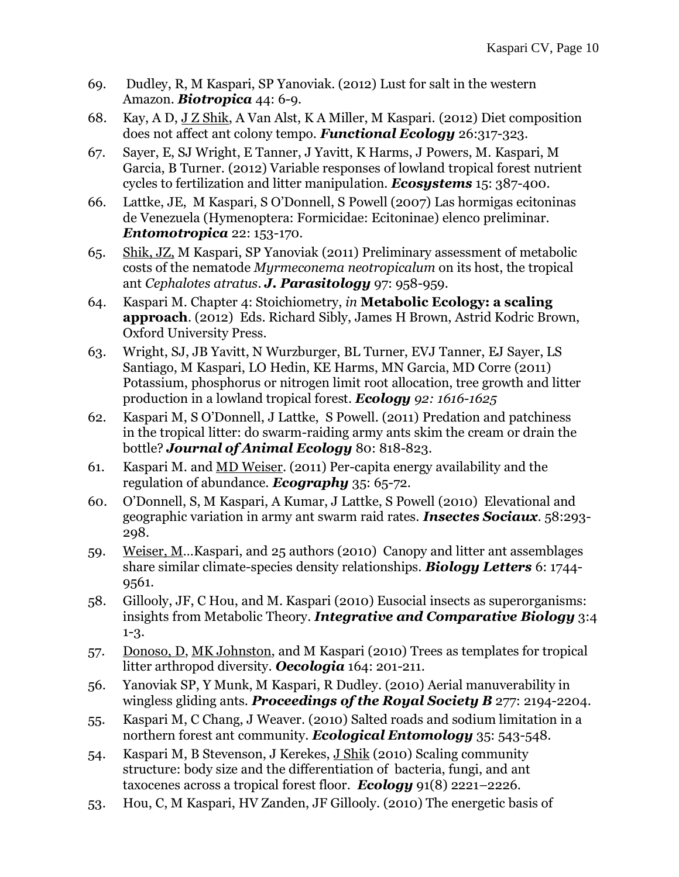- 69. Dudley, R, M Kaspari, SP Yanoviak. (2012) Lust for salt in the western Amazon. *Biotropica* 44: 6-9.
- 68. Kay, A D, J Z Shik, A Van Alst, K A Miller, M Kaspari. (2012) Diet composition does not affect ant colony tempo. *Functional Ecology* 26:317-323.
- 67. Sayer, E, SJ Wright, E Tanner, J Yavitt, K Harms, J Powers, M. Kaspari, M Garcia, B Turner. (2012) Variable responses of lowland tropical forest nutrient cycles to fertilization and litter manipulation. *Ecosystems* 15: 387-400.
- 66. Lattke, JE, M Kaspari, S O'Donnell, S Powell (2007) Las hormigas ecitoninas de Venezuela (Hymenoptera: Formicidae: Ecitoninae) elenco preliminar. *Entomotropica* 22: 153-170.
- 65. Shik, JZ, M Kaspari, SP Yanoviak (2011) Preliminary assessment of metabolic costs of the nematode *Myrmeconema neotropicalum* on its host, the tropical ant *Cephalotes atratus*. *J. Parasitology* 97: 958-959.
- 64. Kaspari M. Chapter 4: Stoichiometry, *in* **Metabolic Ecology: a scaling approach**. (2012) Eds. Richard Sibly, James H Brown, Astrid Kodric Brown, Oxford University Press.
- 63. Wright, SJ, JB Yavitt, N Wurzburger, BL Turner, EVJ Tanner, EJ Sayer, LS Santiago, M Kaspari, LO Hedin, KE Harms, MN Garcia, MD Corre (2011) Potassium, phosphorus or nitrogen limit root allocation, tree growth and litter production in a lowland tropical forest. *Ecology 92: 1616-1625*
- 62. Kaspari M, S O'Donnell, J Lattke, S Powell. (2011) Predation and patchiness in the tropical litter: do swarm-raiding army ants skim the cream or drain the bottle? *Journal of Animal Ecology* 80: 818-823.
- 61. Kaspari M. and MD Weiser. (2011) Per-capita energy availability and the regulation of abundance. *Ecography* 35: 65-72.
- 60. O'Donnell, S, M Kaspari, A Kumar, J Lattke, S Powell (2010) Elevational and geographic variation in army ant swarm raid rates. *Insectes Sociaux.* 58:293- 298.
- 59. Weiser, M…Kaspari, and 25 authors (2010) Canopy and litter ant assemblages share similar climate-species density relationships. *Biology Letters* 6: 1744- 9561.
- 58. Gillooly, JF, C Hou, and M. Kaspari (2010) Eusocial insects as superorganisms: insights from Metabolic Theory. *Integrative and Comparative Biology* 3:4 1-3.
- 57. Donoso, D, MK Johnston, and M Kaspari (2010) Trees as templates for tropical litter arthropod diversity. *Oecologia* 164: 201-211.
- 56. Yanoviak SP, Y Munk, M Kaspari, R Dudley. (2010) Aerial manuverability in wingless gliding ants. *Proceedings of the Royal Society B* 277: 2194-2204.
- 55. Kaspari M, C Chang, J Weaver. (2010) Salted roads and sodium limitation in a northern forest ant community. *Ecological Entomology* 35: 543-548*.*
- 54. Kaspari M, B Stevenson, J Kerekes, J Shik (2010) Scaling community structure: body size and the differentiation of bacteria, fungi, and ant taxocenes across a tropical forest floor. *Ecology* 91(8) 2221–2226.
- 53. Hou, C, M Kaspari, HV Zanden, JF Gillooly. (2010) The energetic basis of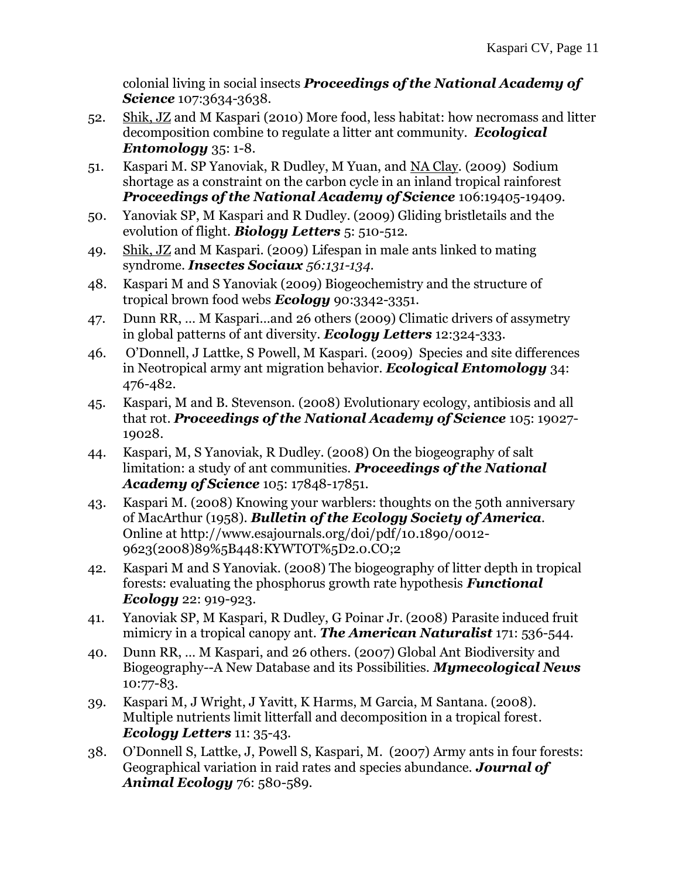colonial living in social insects *Proceedings of the National Academy of Science* 107:3634-3638*.*

- 52. Shik, JZ and M Kaspari (2010) More food, less habitat: how necromass and litter decomposition combine to regulate a litter ant community. *Ecological Entomology* 35: 1-8.
- 51. Kaspari M. SP Yanoviak, R Dudley, M Yuan, and NA Clay. (2009)Sodium shortage as a constraint on the carbon cycle in an inland tropical rainforest *Proceedings of the National Academy of Science* 106:19405-19409.
- 50. Yanoviak SP, M Kaspari and R Dudley. (2009) Gliding bristletails and the evolution of flight. *Biology Letters* 5: 510-512.
- 49. Shik, JZ and M Kaspari. (2009) Lifespan in male ants linked to mating syndrome. *Insectes Sociaux 56:131-134.*
- 48. Kaspari M and S Yanoviak (2009) Biogeochemistry and the structure of tropical brown food webs *Ecology* 90:3342-3351.
- 47. Dunn RR, … M Kaspari…and 26 others (2009) Climatic drivers of assymetry in global patterns of ant diversity. *Ecology Letters* 12:324-333*.*
- 46. O'Donnell, J Lattke, S Powell, M Kaspari. (2009) Species and site differences in Neotropical army ant migration behavior*. Ecological Entomology* 34: 476-482.
- 45. Kaspari, M and B. Stevenson. (2008) Evolutionary ecology, antibiosis and all that rot. *Proceedings of the National Academy of Science* 105: 19027- 19028.
- 44. Kaspari, M, S Yanoviak, R Dudley. (2008) On the biogeography of salt limitation: a study of ant communities. *Proceedings of the National Academy of Science* 105: 17848-17851.
- 43. Kaspari M. (2008) Knowing your warblers: thoughts on the 50th anniversary of MacArthur (1958). *Bulletin of the Ecology Society of America.*  Online at http://www.esajournals.org/doi/pdf/10.1890/0012- 9623(2008)89%5B448:KYWTOT%5D2.0.CO;2
- 42. Kaspari M and S Yanoviak. (2008) The biogeography of litter depth in tropical forests: evaluating the phosphorus growth rate hypothesis *Functional Ecology* 22: 919-923.
- 41. Yanoviak SP, M Kaspari, R Dudley, G Poinar Jr. (2008) Parasite induced fruit mimicry in a tropical canopy ant. *The American Naturalist* 171: 536-544.
- 40. Dunn RR, … M Kaspari, and 26 others*.* (2007) Global Ant Biodiversity and Biogeography--A New Database and its Possibilities. *Mymecological News* 10:77-83.
- 39. Kaspari M, J Wright, J Yavitt, K Harms, M Garcia, M Santana. (2008)*.*  Multiple nutrients limit litterfall and decomposition in a tropical forest. *Ecology Letters* 11: 35-43.
- 38. O'Donnell S, Lattke, J, Powell S, Kaspari, M. (2007) Army ants in four forests: Geographical variation in raid rates and species abundance. *Journal of Animal Ecology* 76: 580-589.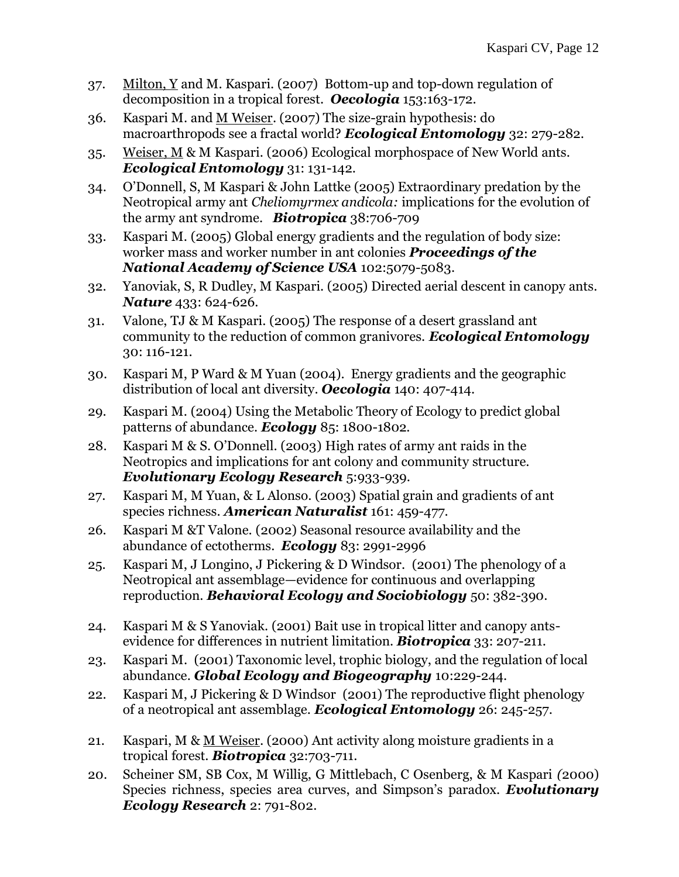- 37. Milton, Y and M. Kaspari. (2007) Bottom-up and top-down regulation of decomposition in a tropical forest. *Oecologia* 153:163-172.
- 36. Kaspari M. and M Weiser. (2007) The size-grain hypothesis: do macroarthropods see a fractal world? *Ecological Entomology* 32: 279-282.
- 35. Weiser, M & M Kaspari. (2006) Ecological morphospace of New World ants. *Ecological Entomology* 31: 131-142.
- 34. O'Donnell, S, M Kaspari & John Lattke (2005) Extraordinary predation by the Neotropical army ant *Cheliomyrmex andicola:* implications for the evolution of the army ant syndrome. *Biotropica* 38:706-709
- 33. Kaspari M. (2005) Global energy gradients and the regulation of body size: worker mass and worker number in ant colonies *Proceedings of the National Academy of Science USA* 102:5079-5083.
- 32. Yanoviak, S, R Dudley, M Kaspari. (2005) Directed aerial descent in canopy ants. *Nature* 433: 624-626.
- 31. Valone, TJ & M Kaspari. (2005) The response of a desert grassland ant community to the reduction of common granivores. *Ecological Entomology*  30: 116-121.
- 30. Kaspari M, P Ward & M Yuan (2004). Energy gradients and the geographic distribution of local ant diversity. *Oecologia* 140: 407-414.
- 29. Kaspari M. (2004) Using the Metabolic Theory of Ecology to predict global patterns of abundance. *Ecology* 85: 1800-1802.
- 28. Kaspari M & S. O'Donnell. (2003) High rates of army ant raids in the Neotropics and implications for ant colony and community structure. *Evolutionary Ecology Research* 5:933-939.
- 27. Kaspari M, M Yuan, & L Alonso. (2003) Spatial grain and gradients of ant species richness. *American Naturalist* 161: 459-477.
- 26. Kaspari M &T Valone. (2002) Seasonal resource availability and the abundance of ectotherms. *Ecology* 83: 2991-2996
- 25. Kaspari M, J Longino, J Pickering & D Windsor. (2001) The phenology of a Neotropical ant assemblage—evidence for continuous and overlapping reproduction. *Behavioral Ecology and Sociobiology* 50: 382-390.
- 24. Kaspari M & S Yanoviak. (2001) Bait use in tropical litter and canopy antsevidence for differences in nutrient limitation. *Biotropica* 33: 207-211.
- 23. Kaspari M. (2001) Taxonomic level, trophic biology, and the regulation of local abundance. *Global Ecology and Biogeography* 10:229-244.
- 22. Kaspari M, J Pickering & D Windsor (2001) The reproductive flight phenology of a neotropical ant assemblage. *Ecological Entomology* 26: 245-257.
- 21. Kaspari, M & M Weiser*.* (2000) Ant activity along moisture gradients in a tropical forest. *Biotropica* 32:703-711.
- 20. Scheiner SM, SB Cox, M Willig, G Mittlebach, C Osenberg, & M Kaspari *(*2000) Species richness, species area curves, and Simpson's paradox. *Evolutionary Ecology Research* 2: 791-802.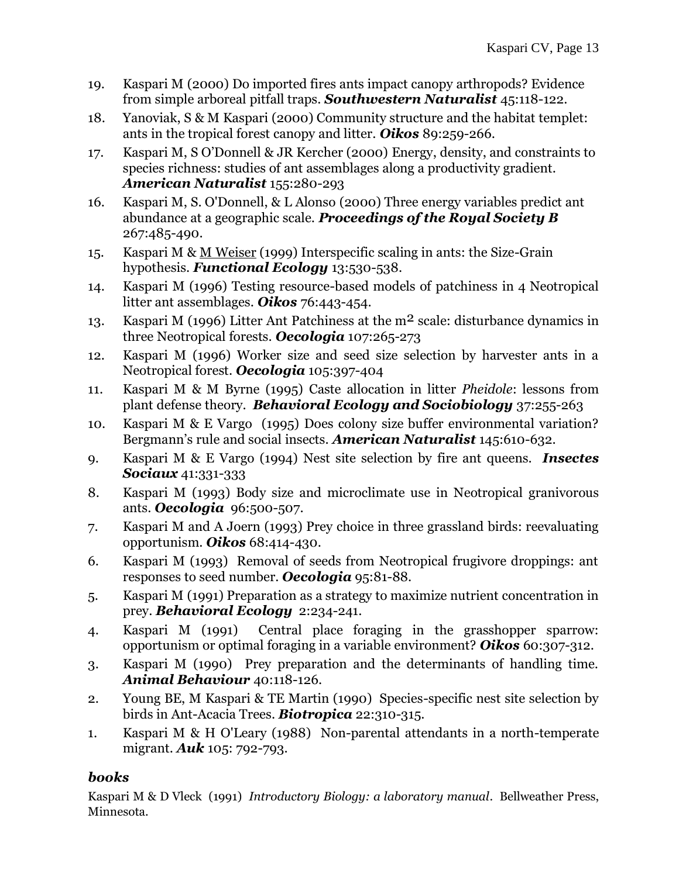- 19. Kaspari M (2000) Do imported fires ants impact canopy arthropods? Evidence from simple arboreal pitfall traps. *Southwestern Naturalist* 45:118-122.
- 18. Yanoviak, S & M Kaspari (2000) Community structure and the habitat templet: ants in the tropical forest canopy and litter. *Oikos* 89:259-266.
- 17. Kaspari M, S O'Donnell & JR Kercher (2000) Energy, density, and constraints to species richness: studies of ant assemblages along a productivity gradient. *American Naturalist* 155:280-293
- 16. Kaspari M, S. O'Donnell, & L Alonso (2000) Three energy variables predict ant abundance at a geographic scale. *Proceedings of the Royal Society B* 267:485-490.
- 15. Kaspari M & M Weiser (1999) Interspecific scaling in ants: the Size-Grain hypothesis. *Functional Ecology* 13:530-538.
- 14. Kaspari M (1996) Testing resource-based models of patchiness in 4 Neotropical litter ant assemblages. *Oikos* 76:443-454.
- 13. Kaspari M (1996) Litter Ant Patchiness at the m2 scale: disturbance dynamics in three Neotropical forests. *Oecologia* 107:265-273
- 12. Kaspari M (1996) Worker size and seed size selection by harvester ants in a Neotropical forest. *Oecologia* 105:397-404
- 11. Kaspari M & M Byrne (1995) Caste allocation in litter *Pheidole*: lessons from plant defense theory. *Behavioral Ecology and Sociobiology* 37:255-263
- 10. Kaspari M & E Vargo (1995) Does colony size buffer environmental variation? Bergmann's rule and social insects. *American Naturalist* 145:610-632.
- 9. Kaspari M & E Vargo (1994) Nest site selection by fire ant queens. *Insectes Sociaux* 41:331-333
- 8. Kaspari M (1993) Body size and microclimate use in Neotropical granivorous ants. *Oecologia* 96:500-507.
- 7. Kaspari M and A Joern (1993) Prey choice in three grassland birds: reevaluating opportunism. *Oikos* 68:414-430.
- 6. Kaspari M (1993) Removal of seeds from Neotropical frugivore droppings: ant responses to seed number. *Oecologia* 95:81-88.
- 5. Kaspari M (1991) Preparation as a strategy to maximize nutrient concentration in prey. *Behavioral Ecology* 2:234-241.
- 4. Kaspari M (1991) Central place foraging in the grasshopper sparrow: opportunism or optimal foraging in a variable environment? *Oikos* 60:307-312.
- 3. Kaspari M (1990) Prey preparation and the determinants of handling time. *Animal Behaviour* 40:118-126.
- 2. Young BE, M Kaspari & TE Martin (1990) Species-specific nest site selection by birds in Ant-Acacia Trees. *Biotropica* 22:310-315.
- 1. Kaspari M & H O'Leary (1988) Non-parental attendants in a north-temperate migrant. *Auk* 105: 792-793.

## *books*

Kaspari M & D Vleck (1991) *Introductory Biology: a laboratory manual*. Bellweather Press, Minnesota.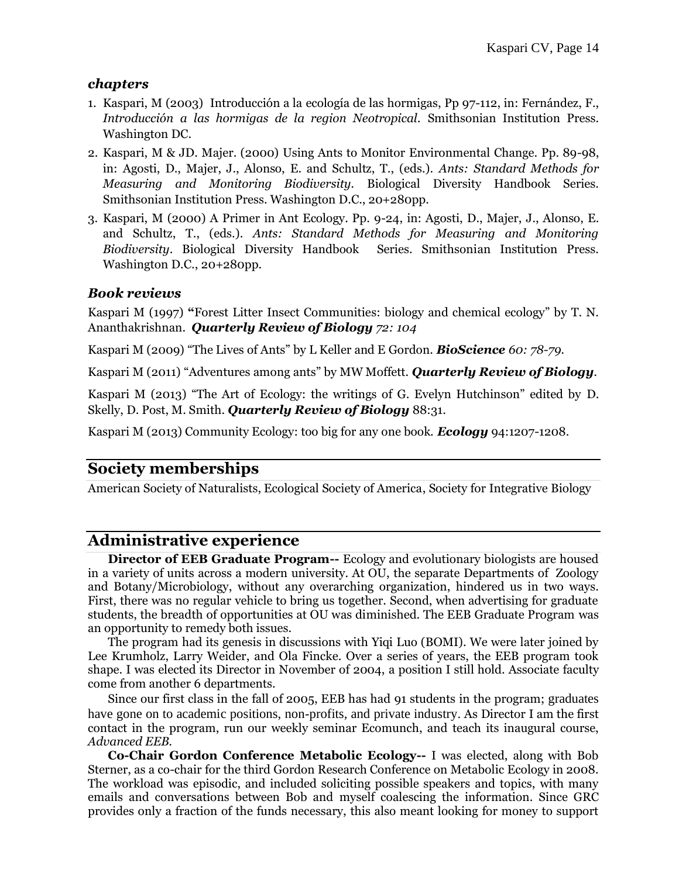#### *chapters*

- 1. Kaspari, M (2003) Introducción a la ecología de las hormigas, Pp 97-112, in: Fernández, F., *Introducción a las hormigas de la region Neotropical.* Smithsonian Institution Press. Washington DC.
- 2. Kaspari, M & JD. Majer. (2000) Using Ants to Monitor Environmental Change. Pp. 89-98, in: Agosti, D., Majer, J., Alonso, E. and Schultz, T., (eds.). *Ants: Standard Methods for Measuring and Monitoring Biodiversity.* Biological Diversity Handbook Series. Smithsonian Institution Press. Washington D.C., 20+280pp.
- 3. Kaspari, M (2000) A Primer in Ant Ecology. Pp. 9-24, in: Agosti, D., Majer, J., Alonso, E. and Schultz, T., (eds.). *Ants: Standard Methods for Measuring and Monitoring Biodiversity*. Biological Diversity Handbook Series. Smithsonian Institution Press. Washington D.C., 20+280pp.

#### *Book reviews*

Kaspari M (1997) **"**Forest Litter Insect Communities: biology and chemical ecology" by T. N. Ananthakrishnan. *Quarterly Review of Biology 72: 104*

Kaspari M (2009) "The Lives of Ants" by L Keller and E Gordon. *BioScience 60: 78-79.*

Kaspari M (2011) "Adventures among ants" by MW Moffett. *Quarterly Review of Biology.*

Kaspari M (2013) "The Art of Ecology: the writings of G. Evelyn Hutchinson" edited by D. Skelly, D. Post, M. Smith. *Quarterly Review of Biology* 88:31.

Kaspari M (2013) Community Ecology: too big for any one book. *Ecology* 94:1207-1208.

## **Society memberships**

American Society of Naturalists, Ecological Society of America, Society for Integrative Biology

## **Administrative experience**

**Director of EEB Graduate Program--** Ecology and evolutionary biologists are housed in a variety of units across a modern university. At OU, the separate Departments of Zoology and Botany/Microbiology, without any overarching organization, hindered us in two ways. First, there was no regular vehicle to bring us together. Second, when advertising for graduate students, the breadth of opportunities at OU was diminished. The EEB Graduate Program was an opportunity to remedy both issues.

The program had its genesis in discussions with Yiqi Luo (BOMI). We were later joined by Lee Krumholz, Larry Weider, and Ola Fincke. Over a series of years, the EEB program took shape. I was elected its Director in November of 2004, a position I still hold. Associate faculty come from another 6 departments.

Since our first class in the fall of 2005, EEB has had 91 students in the program; graduates have gone on to academic positions, non-profits, and private industry. As Director I am the first contact in the program, run our weekly seminar Ecomunch, and teach its inaugural course, *Advanced EEB.*

**Co-Chair Gordon Conference Metabolic Ecology--** I was elected, along with Bob Sterner, as a co-chair for the third Gordon Research Conference on Metabolic Ecology in 2008. The workload was episodic, and included soliciting possible speakers and topics, with many emails and conversations between Bob and myself coalescing the information. Since GRC provides only a fraction of the funds necessary, this also meant looking for money to support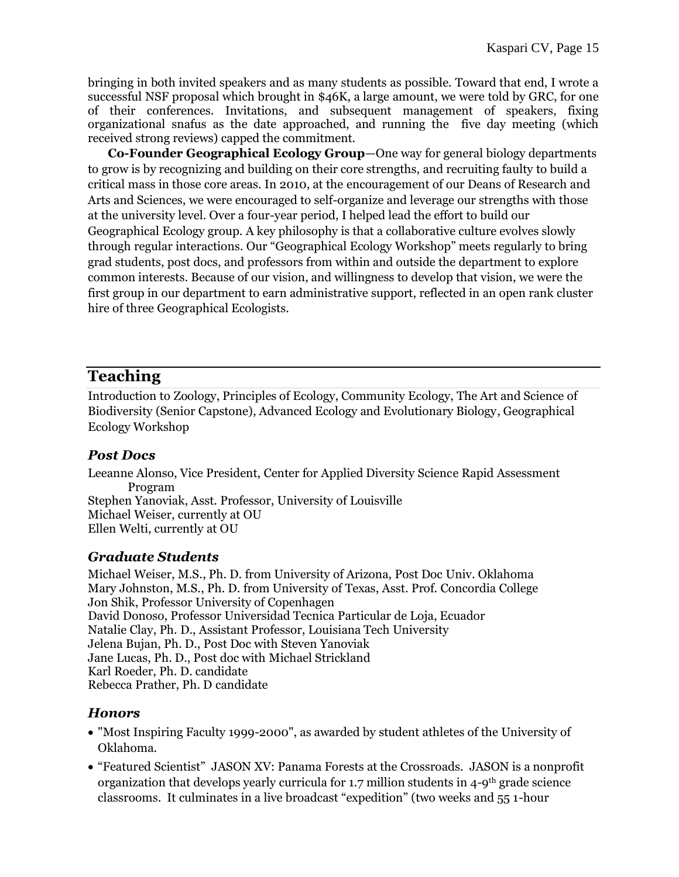bringing in both invited speakers and as many students as possible. Toward that end, I wrote a successful NSF proposal which brought in \$46K, a large amount, we were told by GRC, for one of their conferences. Invitations, and subsequent management of speakers, fixing organizational snafus as the date approached, and running the five day meeting (which received strong reviews) capped the commitment.

**Co-Founder Geographical Ecology Group**—One way for general biology departments to grow is by recognizing and building on their core strengths, and recruiting faulty to build a critical mass in those core areas. In 2010, at the encouragement of our Deans of Research and Arts and Sciences, we were encouraged to self-organize and leverage our strengths with those at the university level. Over a four-year period, I helped lead the effort to build our Geographical Ecology group. A key philosophy is that a collaborative culture evolves slowly through regular interactions. Our "Geographical Ecology Workshop" meets regularly to bring grad students, post docs, and professors from within and outside the department to explore common interests. Because of our vision, and willingness to develop that vision, we were the first group in our department to earn administrative support, reflected in an open rank cluster hire of three Geographical Ecologists.

## **Teaching**

Introduction to Zoology, Principles of Ecology, Community Ecology, The Art and Science of Biodiversity (Senior Capstone), Advanced Ecology and Evolutionary Biology, Geographical Ecology Workshop

### *Post Docs*

Leeanne Alonso, Vice President, Center for Applied Diversity Science Rapid Assessment Program Stephen Yanoviak, Asst. Professor, University of Louisville Michael Weiser, currently at OU Ellen Welti, currently at OU

### *Graduate Students*

Michael Weiser, M.S., Ph. D. from University of Arizona, Post Doc Univ. Oklahoma Mary Johnston, M.S., Ph. D. from University of Texas, Asst. Prof. Concordia College Jon Shik, Professor University of Copenhagen David Donoso, Professor Universidad Tecnica Particular de Loja, Ecuador Natalie Clay, Ph. D., Assistant Professor, Louisiana Tech University Jelena Bujan, Ph. D., Post Doc with Steven Yanoviak Jane Lucas, Ph. D., Post doc with Michael Strickland Karl Roeder, Ph. D. candidate Rebecca Prather, Ph. D candidate

### *Honors*

- "Most Inspiring Faculty 1999-2000", as awarded by student athletes of the University of Oklahoma.
- "Featured Scientist" JASON XV: Panama Forests at the Crossroads. JASON is a nonprofit organization that develops yearly curricula for 1.7 million students in 4-9th grade science classrooms. It culminates in a live broadcast "expedition" (two weeks and 55 1-hour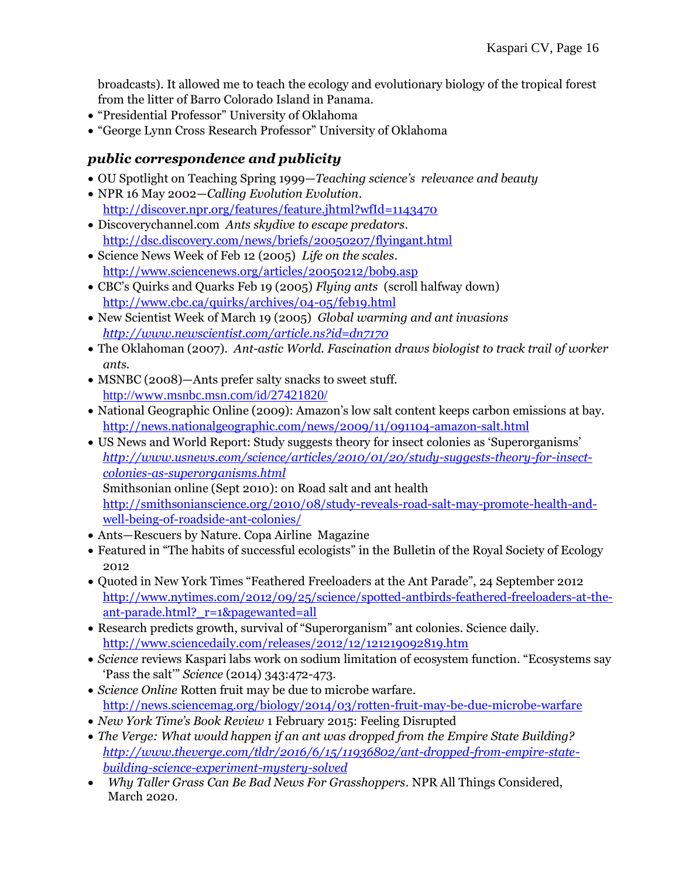broadcasts). It allowed me to teach the ecology and evolutionary biology of the tropical forest from the litter of Barro Colorado Island in Panama.

- "Presidential Professor" University of Oklahoma
- "George Lynn Cross Research Professor" University of Oklahoma

### *public correspondence and publicity*

- OU Spotlight on Teaching Spring 1999—*Teaching science's relevance and beauty*
- NPR 16 May 2002—*Calling Evolution Evolution*. <http://discover.npr.org/features/feature.jhtml?wfId=1143470>
- Discoverychannel.com *Ants skydive to escape predators*. <http://dsc.discovery.com/news/briefs/20050207/flyingant.html>
- Science News Week of Feb 12 (2005) *Life on the scales*. <http://www.sciencenews.org/articles/20050212/bob9.asp>
- CBC's Quirks and Quarks Feb 19 (2005) *Flying ants* (scroll halfway down) <http://www.cbc.ca/quirks/archives/04-05/feb19.html>
- New Scientist Week of March 19 (2005) *Global warming and ant invasions <http://www.newscientist.com/article.ns?id=dn7170>*
- The Oklahoman (2007). *Ant-astic World. Fascination draws biologist to track trail of worker ants.*
- MSNBC (2008)—Ants prefer salty snacks to sweet stuff. <http://www.msnbc.msn.com/id/27421820/>
- National Geographic Online (2009): Amazon's low salt content keeps carbon emissions at bay. <http://news.nationalgeographic.com/news/2009/11/091104-amazon-salt.html>
- US News and World Report: Study suggests theory for insect colonies as 'Superorganisms' *[http://www.usnews.com/science/articles/2010/01/20/study-suggests-theory-for-insect](http://www.usnews.com/science/articles/2010/01/20/study-suggests-theory-for-insect-colonies-as-superorganisms.html)[colonies-as-superorganisms.html](http://www.usnews.com/science/articles/2010/01/20/study-suggests-theory-for-insect-colonies-as-superorganisms.html)* Smithsonian online (Sept 2010): on Road salt and ant health [http://smithsonianscience.org/2010/08/study-reveals-road-salt-may-promote-health-and](http://smithsonianscience.org/2010/08/study-reveals-road-salt-may-promote-health-and-well-being-of-roadside-ant-colonies/)[well-being-of-roadside-ant-colonies/](http://smithsonianscience.org/2010/08/study-reveals-road-salt-may-promote-health-and-well-being-of-roadside-ant-colonies/)
- Ants—Rescuers by Nature. Copa Airline Magazine
- Featured in "The habits of successful ecologists" in the Bulletin of the Royal Society of Ecology 2012
- Quoted in New York Times "Feathered Freeloaders at the Ant Parade", 24 September 2012 [http://www.nytimes.com/2012/09/25/science/spotted-antbirds-feathered-freeloaders-at-the](http://www.nytimes.com/2012/09/25/science/spotted-antbirds-feathered-freeloaders-at-the-ant-parade.html?_r=1&pagewanted=all)[ant-parade.html?\\_r=1&pagewanted=all](http://www.nytimes.com/2012/09/25/science/spotted-antbirds-feathered-freeloaders-at-the-ant-parade.html?_r=1&pagewanted=all)
- Research predicts growth, survival of "Superorganism" ant colonies. Science daily. <http://www.sciencedaily.com/releases/2012/12/121219092819.htm>
- *Science* reviews Kaspari labs work on sodium limitation of ecosystem function. "Ecosystems say 'Pass the salt'" *Science* (2014) 343:472-473.
- *Science Online* Rotten fruit may be due to microbe warfare. <http://news.sciencemag.org/biology/2014/03/rotten-fruit-may-be-due-microbe-warfare>
- *New York Time's Book Review* 1 February 2015: Feeling Disrupted
- *The Verge: What would happen if an ant was dropped from the Empire State Building? [http://www.theverge.com/tldr/2016/6/15/11936802/ant-dropped-from-empire-state](http://www.theverge.com/tldr/2016/6/15/11936802/ant-dropped-from-empire-state-building-science-experiment-mystery-solved)[building-science-experiment-mystery-solved](http://www.theverge.com/tldr/2016/6/15/11936802/ant-dropped-from-empire-state-building-science-experiment-mystery-solved)*
- *Why Taller Grass Can Be Bad News For Grasshoppers.* NPR All Things Considered, March 2020.